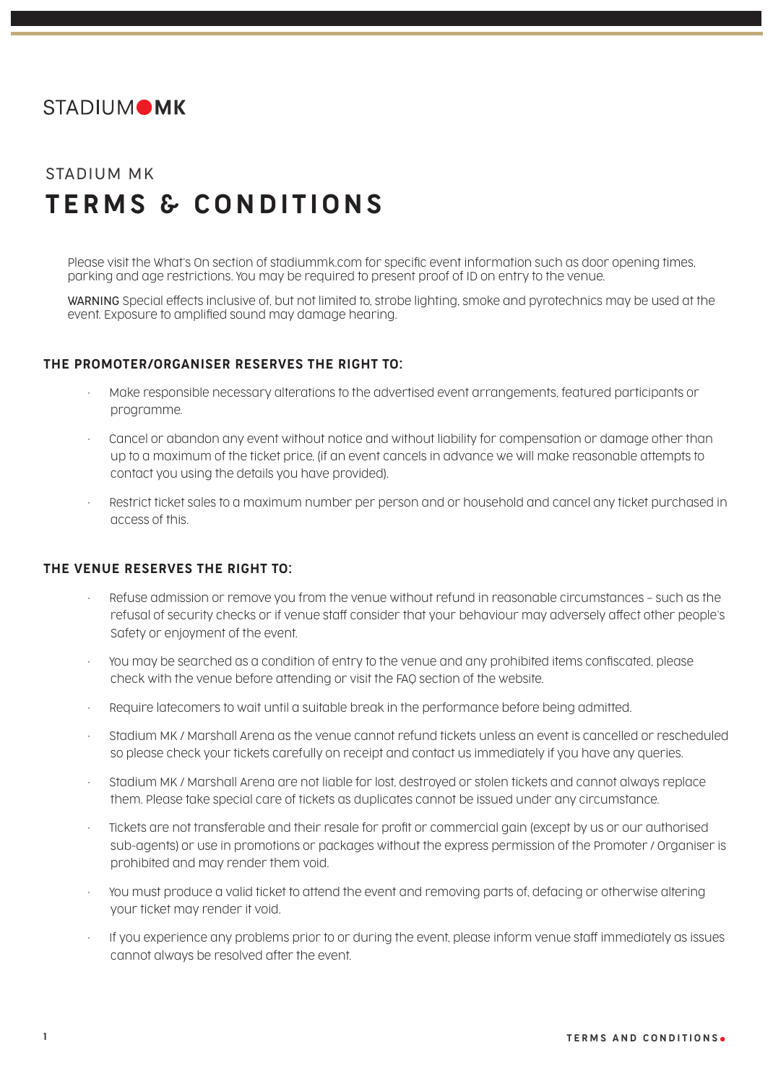

## STADIUM MK TERMS & CONDITIONS

Please visit the What's On section of stadiummk.com for specific event information such as door opening times, parking and age restrictions. You may be required to present proof of ID on entry to the venue.

WARNING Special effects inclusive of, but not limited to, strobe lighting, smoke and pyrotechnics may be used at the event. Exposure to amplified sound may damage hearing.

## THE PROMOTER/ORGANISER RESERVES THE RIGHT TO:

- Make responsible necessary alterations to the advertised event arrangements, featured participants or programme.
- Cancel or abandon any event without notice and without liability for compensation or damage other than up to a maximum of the ticket price, (if an event cancels in advance we will make reasonable attempts to contact you using the details you have provided).
- Restrict ticket sales to a maximum number per person and or household and cancel any ticket purchased in access of this.

## THE VENUE RESERVES THE RIGHT TO:

- Refuse admission or remove you from the venue without refund in reasonable circumstances such as the refusal of security checks or if venue staff consider that your behaviour may adversely affect other people's Safety or enjoyment of the event.
- You may be searched as a condition of entry to the venue and any prohibited items confiscated, please check with the venue before attending or visit the FAQ section of the website.
- Require latecomers to wait until a suitable break in the performance before being admitted.
- Stadium MK / Marshall Arena as the venue cannot refund tickets unless an event is cancelled or rescheduled so please check your tickets carefully on receipt and contact us immediately if you have any queries.
- Stadium MK / Marshall Arena are not liable for lost, destroyed or stolen tickets and cannot always replace them. Please take special care of tickets as duplicates cannot be issued under any circumstance.
- Tickets are not transferable and their resale for profit or commercial gain (except by us or our authorised sub-agents) or use in promotions or packages without the express permission of the Promoter / Organiser is prohibited and may render them void.
- You must produce a valid ticket to attend the event and removing parts of, defacing or otherwise altering your ticket may render it void.
- If you experience any problems prior to or during the event, please inform venue staff immediately as issues cannot always be resolved after the event.